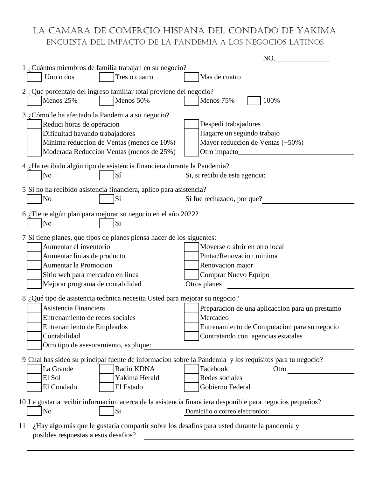## LA CAMARA DE COMERCIO HISPANA DEL CONDADO DE YAKIMA ENCUESTA DEL IMPACTO DE LA PANDEMIA A LOS NEGOCIOS LATINOS

|                                                                                                                                                                                                                                        | NO.                                                                                                                                               |
|----------------------------------------------------------------------------------------------------------------------------------------------------------------------------------------------------------------------------------------|---------------------------------------------------------------------------------------------------------------------------------------------------|
| 1 ¿Cuántos miembros de familia trabajan en su negocio?<br>Uno o dos<br>Tres o cuatro                                                                                                                                                   | Mas de cuatro                                                                                                                                     |
| 2 ¿Qué porcentaje del ingreso familiar total proviene del negocio?<br>Menos 25%<br>Menos 50%                                                                                                                                           | Menos 75%<br>100%                                                                                                                                 |
| 3 ¿Cómo le ha afectado la Pandemia a su negocio?<br>Reduci horas de operacion<br>Dificultad hayando trabajadores<br>Minima reduccion de Ventas (menos de 10%)<br>Moderada Reduccion Ventas (menos de 25%)                              | Despedi trabajadores<br>Hagarre un segundo trabajo<br>Mayor reduccion de Ventas (+50%)                                                            |
| 4 ¿Ha recibido algún tipo de asistencia financiera durante la Pandemia?<br>N <sub>o</sub><br>Sí                                                                                                                                        | Si, si recibi de esta agencia:                                                                                                                    |
| 5 Si no ha recibido asistencia financiera, aplico para asistencia?<br>Sí<br>N <sub>o</sub>                                                                                                                                             | Si fue rechazado, por que?                                                                                                                        |
| 6 ¿Tiene algún plan para mejorar su negocio en el año 2022?<br>No<br>Si                                                                                                                                                                |                                                                                                                                                   |
| 7 Si tiene planes, que tipos de planes piensa hacer de los siguentes:<br>Aumentar el inventorio<br>Aumentar linias de producto<br><b>Aumentar la Promocion</b><br>Sitio web para mercadeo en linea<br>Mejorar programa de contabilidad | Moverse o abrir en otro local<br>Pintar/Renovacion minima<br>Renovacion major<br>Comprar Nuevo Equipo<br>Otros planes                             |
| 8 ¿Qué tipo de asistencia technica necesita Usted para mejorar su negocio?<br>Asistencia Financiera<br>Entrenamiento de redes sociales<br>Entrenamiento de Empleados<br>Contabilidad<br>Otro tipo de asesoramiento, explique:          | Preparacion de una aplicaccion para un prestamo<br>Mercadeo<br>Entrenamiento de Computacion para su negocio<br>Contratando con agencias estatales |
| 9 Cual has sideo su principal fuente de informacion sobre la Pandemia y los requisitos para tu negocio?<br>Radio KDNA<br>La Grande<br>El Sol<br>Yakima Herald<br>El Estado<br>El Condado                                               | Facebook<br>Otro<br>Redes sociales<br>Gobierno Federal                                                                                            |
| 10 Le gustaria recibir informacion acerca de la asistencia financiera desponible para negocios pequeños?<br>Si<br>No                                                                                                                   | Domicilio o correo electronico:                                                                                                                   |
| ¿Hay algo más que le gustaría compartir sobre los desafíos para usted durante la pandemia y<br>11<br>posibles respuestas a esos desafios?                                                                                              |                                                                                                                                                   |